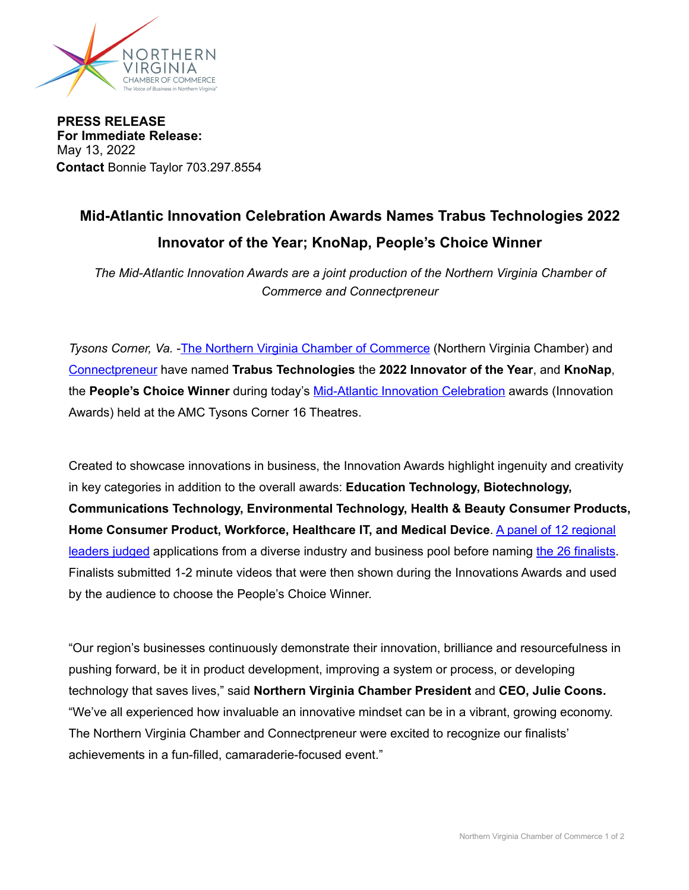

**PRESS RELEASE For Immediate Release:**  May 13, 2022 **Contact** Bonnie Taylor 703.297.8554

## **Mid-Atlantic Innovation Celebration Awards Names Trabus Technologies 2022 Innovator of the Year; KnoNap, People's Choice Winner**

*The Mid-Atlantic Innovation Awards are a joint production of the Northern Virginia Chamber of Commerce and Connectpreneur*

*Tysons Corner, Va.* -[The Northern Virginia Chamber of Commerce](https://novachamber.org) (Northern Virginia Chamber) and [Connectpreneur](https://connectpreneur.org) have named **Trabus Technologies** the **2022 Innovator of the Year**, and **KnoNap**, the **People's Choice Winner** during today's [Mid-Atlantic Innovation Celebration](https://novachamber.org/annual-awards/mid-atlantic-innovation-celebration/) awards (Innovation Awards) held at the AMC Tysons Corner 16 Theatres.

Created to showcase innovations in business, the Innovation Awards highlight ingenuity and creativity in key categories in addition to the overall awards: **Education Technology, Biotechnology, Communications Technology, Environmental Technology, Health & Beauty Consumer Products, Home Consumer Product, Workforce, Healthcare IT, and Medical Device**. [A panel of 12 regional](https://novachamber.org/annual-awards/mid-atlantic-innovation-celebration/#injudges)  [leaders judged](https://novachamber.org/annual-awards/mid-atlantic-innovation-celebration/#injudges) applications from a diverse industry and business pool before naming [the 26 finalists](https://novachamber.org/annual-awards/mid-atlantic-innovation-celebration/#2022Finalists). Finalists submitted 1-2 minute videos that were then shown during the Innovations Awards and used by the audience to choose the People's Choice Winner.

"Our region's businesses continuously demonstrate their innovation, brilliance and resourcefulness in pushing forward, be it in product development, improving a system or process, or developing technology that saves lives," said **Northern Virginia Chamber President** and **CEO, Julie Coons.** "We've all experienced how invaluable an innovative mindset can be in a vibrant, growing economy. The Northern Virginia Chamber and Connectpreneur were excited to recognize our finalists' achievements in a fun-filled, camaraderie-focused event."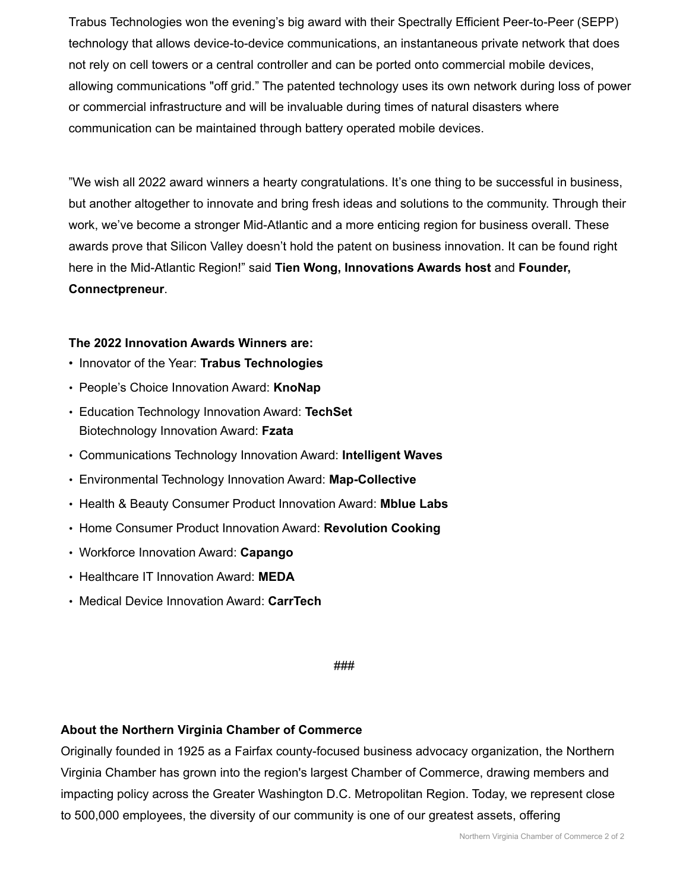Trabus Technologies won the evening's big award with their Spectrally Efficient Peer-to-Peer (SEPP) technology that allows device-to-device communications, an instantaneous private network that does not rely on cell towers or a central controller and can be ported onto commercial mobile devices, allowing communications "off grid." The patented technology uses its own network during loss of power or commercial infrastructure and will be invaluable during times of natural disasters where communication can be maintained through battery operated mobile devices.

"We wish all 2022 award winners a hearty congratulations. It's one thing to be successful in business, but another altogether to innovate and bring fresh ideas and solutions to the community. Through their work, we've become a stronger Mid-Atlantic and a more enticing region for business overall. These awards prove that Silicon Valley doesn't hold the patent on business innovation. It can be found right here in the Mid-Atlantic Region!" said **Tien Wong, Innovations Awards host** and **Founder, Connectpreneur**.

## **The 2022 Innovation Awards Winners are:**

- Innovator of the Year: **Trabus Technologies**
- People's Choice Innovation Award: **KnoNap**
- Education Technology Innovation Award: **TechSet** Biotechnology Innovation Award: **Fzata**
- Communications Technology Innovation Award: **Intelligent Waves**
- Environmental Technology Innovation Award: **Map-Collective**
- Health & Beauty Consumer Product Innovation Award: **Mblue Labs**
- Home Consumer Product Innovation Award: **Revolution Cooking**
- Workforce Innovation Award: **Capango**
- Healthcare IT Innovation Award: **MEDA**
- Medical Device Innovation Award: **CarrTech**

###

## **About the Northern Virginia Chamber of Commerce**

Originally founded in 1925 as a Fairfax county-focused business advocacy organization, the Northern Virginia Chamber has grown into the region's largest Chamber of Commerce, drawing members and impacting policy across the Greater Washington D.C. Metropolitan Region. Today, we represent close to 500,000 employees, the diversity of our community is one of our greatest assets, offering